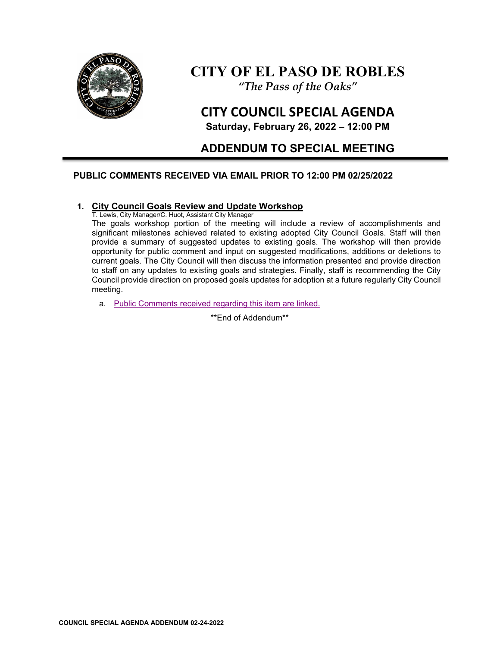

# **CITY OF EL PASO DE ROBLES**

*"The Pass of the Oaks"*

# **CITY COUNCIL SPECIAL AGENDA**

**Saturday, February 26, 2022 – 12:00 PM** 

# **ADDENDUM TO SPECIAL MEETING**

# **PUBLIC COMMENTS RECEIVED VIA EMAIL PRIOR TO 12:00 PM 02/25/2022**

## **1. City Council Goals Review and Update Workshop**

T. Lewis, City Manager/C. Huot, Assistant City Manager

The goals workshop portion of the meeting will include a review of accomplishments and significant milestones achieved related to existing adopted City Council Goals. Staff will then provide a summary of suggested updates to existing goals. The workshop will then provide opportunity for public comment and input on suggested modifications, additions or deletions to current goals. The City Council will then discuss the information presented and provide direction to staff on any updates to existing goals and strategies. Finally, staff is recommending the City Council provide direction on proposed goals updates for adoption at a future regularly City Council meeting.

a. [Public Comments received regarding this item are linked.](https://www.prcity.com/DocumentCenter/View/33256/2022-02-26-City-Council-Special-Meeting-Agenda-Addendum---Item-01--Public-Comments-PDF)

\*\*End of Addendum\*\*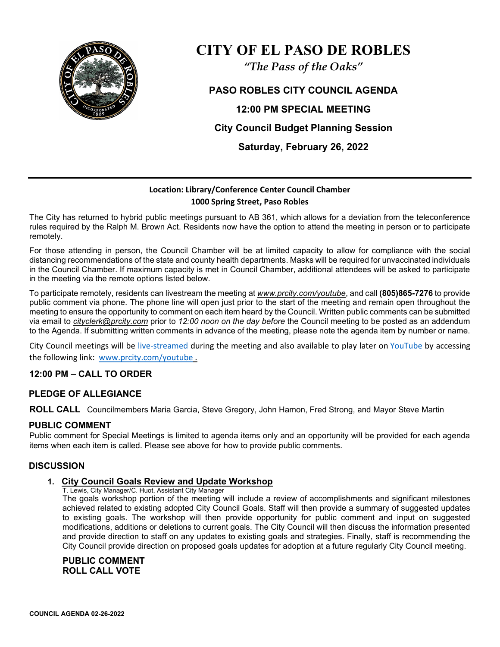

# **CITY OF EL PASO DE ROBLES**

*"The Pass of the Oaks"*

**PASO ROBLES CITY COUNCIL AGENDA 12:00 PM SPECIAL MEETING City Council Budget Planning Session Saturday, February 26, 2022** 

# **Location: Library/Conference Center Council Chamber 1000 Spring Street, Paso Robles**

The City has returned to hybrid public meetings pursuant to AB 361, which allows for a deviation from the teleconference rules required by the Ralph M. Brown Act. Residents now have the option to attend the meeting in person or to participate remotely.

For those attending in person, the Council Chamber will be at limited capacity to allow for compliance with the social distancing recommendations of the state and county health departments. Masks will be required for unvaccinated individuals in the Council Chamber. If maximum capacity is met in Council Chamber, additional attendees will be asked to participate in the meeting via the remote options listed below.

To participate remotely, residents can livestream the meeting at *[www.prcity.com/youtube](http://www.prcity.com/youtube)*, and call **(805)865-7276** to provide public comment via phone. The phone line will open just prior to the start of the meeting and remain open throughout the meeting to ensure the opportunity to comment on each item heard by the Council. Written public comments can be submitted via email to *[cityclerk@prcity.com](mailto:cityclerk@prcity.com)* prior to *12:00 noon on the day before* the Council meeting to be posted as an addendum to the Agenda. If submitting written comments in advance of the meeting, please note the agenda item by number or name.

City Council meetings will be [live-streamed](https://www.youtube.com/channel/UCxElWtI1YhkPr6KI552RDuw) during the meeting and also available to play later on [YouTube](https://www.youtube.com/channel/UCxElWtI1YhkPr6KI552RDuw) by accessing the following link: [www.prcity.com/youtube](http://www.prcity.com/youtube) .

# **12:00 PM – CALL TO ORDER**

# **PLEDGE OF ALLEGIANCE**

**ROLL CALL** Councilmembers Maria Garcia, Steve Gregory, John Hamon, Fred Strong, and Mayor Steve Martin

## **PUBLIC COMMENT**

Public comment for Special Meetings is limited to agenda items only and an opportunity will be provided for each agenda items when each item is called. Please see above for how to provide public comments.

## **DISCUSSION**

## **1. City Council Goals Review and Update Workshop**

T. Lewis, City Manager/C. Huot, Assistant City Manager

The goals workshop portion of the meeting will include a review of accomplishments and significant milestones achieved related to existing adopted City Council Goals. Staff will then provide a summary of suggested updates to existing goals. The workshop will then provide opportunity for public comment and input on suggested modifications, additions or deletions to current goals. The City Council will then discuss the information presented and provide direction to staff on any updates to existing goals and strategies. Finally, staff is recommending the City Council provide direction on proposed goals updates for adoption at a future regularly City Council meeting.

**PUBLIC COMMENT ROLL CALL VOTE**